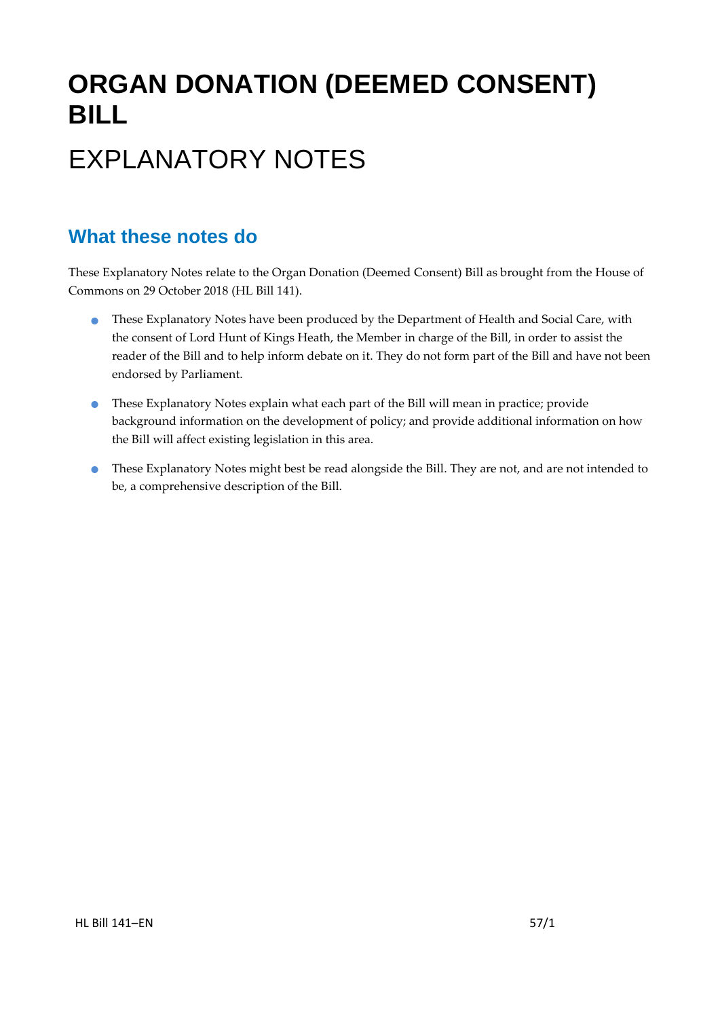# **ORGAN DONATION (DEEMED CONSENT) BILL** EXPLANATORY NOTES

#### **What these notes do**

These Explanatory Notes relate to the Organ Donation (Deemed Consent) Bill as brought from the House of Commons on 29 October 2018 (HL Bill 141).

- **•** These Explanatory Notes have been produced by the Department of Health and Social Care, with the consent of Lord Hunt of Kings Heath, the Member in charge of the Bill, in order to assist the reader of the Bill and to help inform debate on it. They do not form part of the Bill and have not been endorsed by Parliament.
- These Explanatory Notes explain what each part of the Bill will mean in practice; provide background information on the development of policy; and provide additional information on how the Bill will affect existing legislation in this area.
- **•** These Explanatory Notes might best be read alongside the Bill. They are not, and are not intended to be, a comprehensive description of the Bill.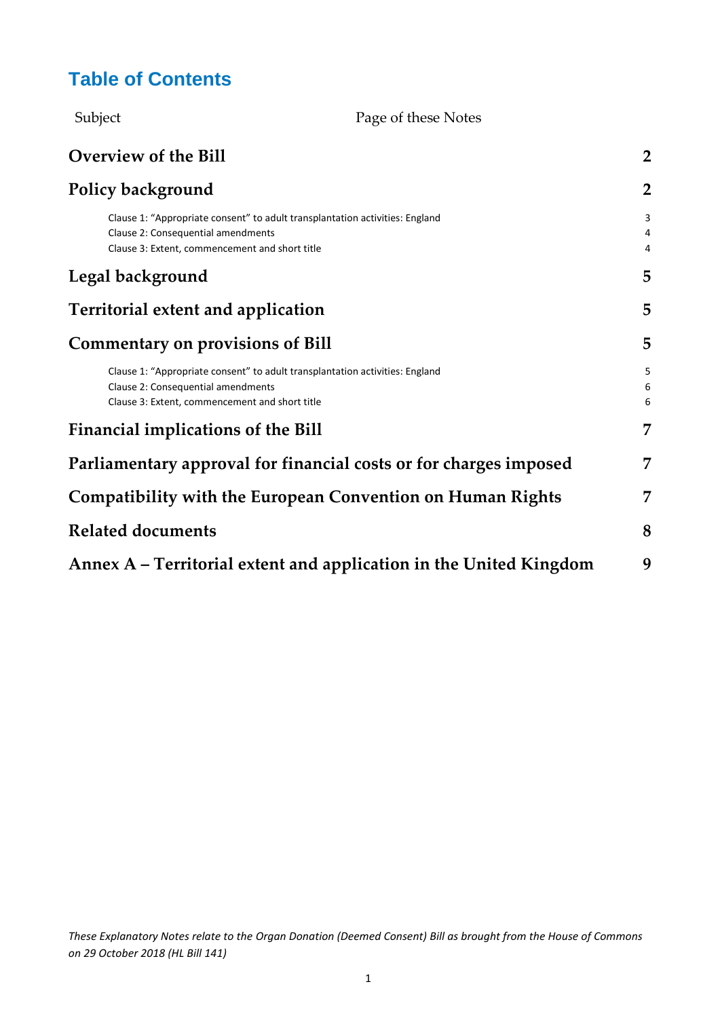### **Table of Contents**

| Subject                                                                                                                                                              | Page of these Notes                                                |                |  |  |  |
|----------------------------------------------------------------------------------------------------------------------------------------------------------------------|--------------------------------------------------------------------|----------------|--|--|--|
| <b>Overview of the Bill</b>                                                                                                                                          |                                                                    | $\overline{2}$ |  |  |  |
| <b>Policy background</b>                                                                                                                                             |                                                                    | $\overline{2}$ |  |  |  |
| Clause 1: "Appropriate consent" to adult transplantation activities: England<br>Clause 2: Consequential amendments<br>Clause 3: Extent, commencement and short title |                                                                    | 3<br>4<br>4    |  |  |  |
| Legal background                                                                                                                                                     |                                                                    | 5              |  |  |  |
| <b>Territorial extent and application</b>                                                                                                                            |                                                                    | 5              |  |  |  |
| <b>Commentary on provisions of Bill</b>                                                                                                                              |                                                                    | 5              |  |  |  |
| Clause 1: "Appropriate consent" to adult transplantation activities: England<br>Clause 2: Consequential amendments<br>Clause 3: Extent, commencement and short title |                                                                    | 5<br>6<br>6    |  |  |  |
| <b>Financial implications of the Bill</b>                                                                                                                            |                                                                    | 7              |  |  |  |
| Parliamentary approval for financial costs or for charges imposed                                                                                                    |                                                                    | 7              |  |  |  |
| <b>Compatibility with the European Convention on Human Rights</b>                                                                                                    |                                                                    | 7              |  |  |  |
| <b>Related documents</b>                                                                                                                                             |                                                                    | 8              |  |  |  |
|                                                                                                                                                                      | Annex A – Territorial extent and application in the United Kingdom | 9              |  |  |  |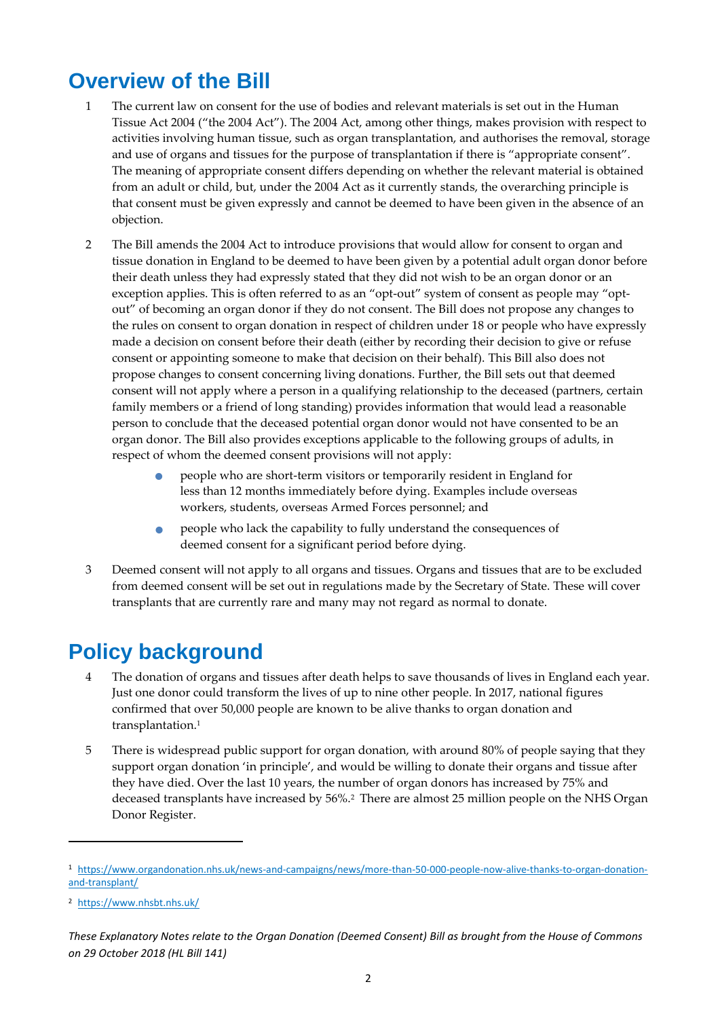### <span id="page-2-0"></span>**Overview of the Bill**

- 1 The current law on consent for the use of bodies and relevant materials is set out in the Human Tissue Act 2004 ("the 2004 Act"). The 2004 Act, among other things, makes provision with respect to activities involving human tissue, such as organ transplantation, and authorises the removal, storage and use of organs and tissues for the purpose of transplantation if there is "appropriate consent". The meaning of appropriate consent differs depending on whether the relevant material is obtained from an adult or child, but, under the 2004 Act as it currently stands, the overarching principle is that consent must be given expressly and cannot be deemed to have been given in the absence of an objection.
- 2 The Bill amends the 2004 Act to introduce provisions that would allow for consent to organ and tissue donation in England to be deemed to have been given by a potential adult organ donor before their death unless they had expressly stated that they did not wish to be an organ donor or an exception applies. This is often referred to as an "opt-out" system of consent as people may "optout" of becoming an organ donor if they do not consent. The Bill does not propose any changes to the rules on consent to organ donation in respect of children under 18 or people who have expressly made a decision on consent before their death (either by recording their decision to give or refuse consent or appointing someone to make that decision on their behalf). This Bill also does not propose changes to consent concerning living donations. Further, the Bill sets out that deemed consent will not apply where a person in a qualifying relationship to the deceased (partners, certain family members or a friend of long standing) provides information that would lead a reasonable person to conclude that the deceased potential organ donor would not have consented to be an organ donor. The Bill also provides exceptions applicable to the following groups of adults, in respect of whom the deemed consent provisions will not apply:
	- people who are short-term visitors or temporarily resident in England for less than 12 months immediately before dying. Examples include overseas workers, students, overseas Armed Forces personnel; and
	- people who lack the capability to fully understand the consequences of deemed consent for a significant period before dying.
- 3 Deemed consent will not apply to all organs and tissues. Organs and tissues that are to be excluded from deemed consent will be set out in regulations made by the Secretary of State. These will cover transplants that are currently rare and many may not regard as normal to donate.

### <span id="page-2-1"></span>**Policy background**

- 4 The donation of organs and tissues after death helps to save thousands of lives in England each year. Just one donor could transform the lives of up to nine other people. In 2017, national figures confirmed that over 50,000 people are known to be alive thanks to organ donation and transplantation. 1
- 5 There is widespread public support for organ donation, with around 80% of people saying that they support organ donation 'in principle', and would be willing to donate their organs and tissue after they have died. Over the last 10 years, the number of organ donors has increased by 75% and deceased transplants have increased by 56%.<sup>2</sup> There are almost 25 million people on the NHS Organ Donor Register.

**.** 

<sup>1</sup> [https://www.organdonation.nhs.uk/news-and-campaigns/news/more-than-50-000-people-now-alive-thanks-to-organ-donation](https://www.organdonation.nhs.uk/news-and-campaigns/news/more-than-50-000-people-now-alive-thanks-to-organ-donation-and-transplant/)[and-transplant/](https://www.organdonation.nhs.uk/news-and-campaigns/news/more-than-50-000-people-now-alive-thanks-to-organ-donation-and-transplant/)

<sup>2</sup> <https://www.nhsbt.nhs.uk/>

*These Explanatory Notes relate to the Organ Donation (Deemed Consent) Bill as brought from the House of Commons on 29 October 2018 (HL Bill 141)*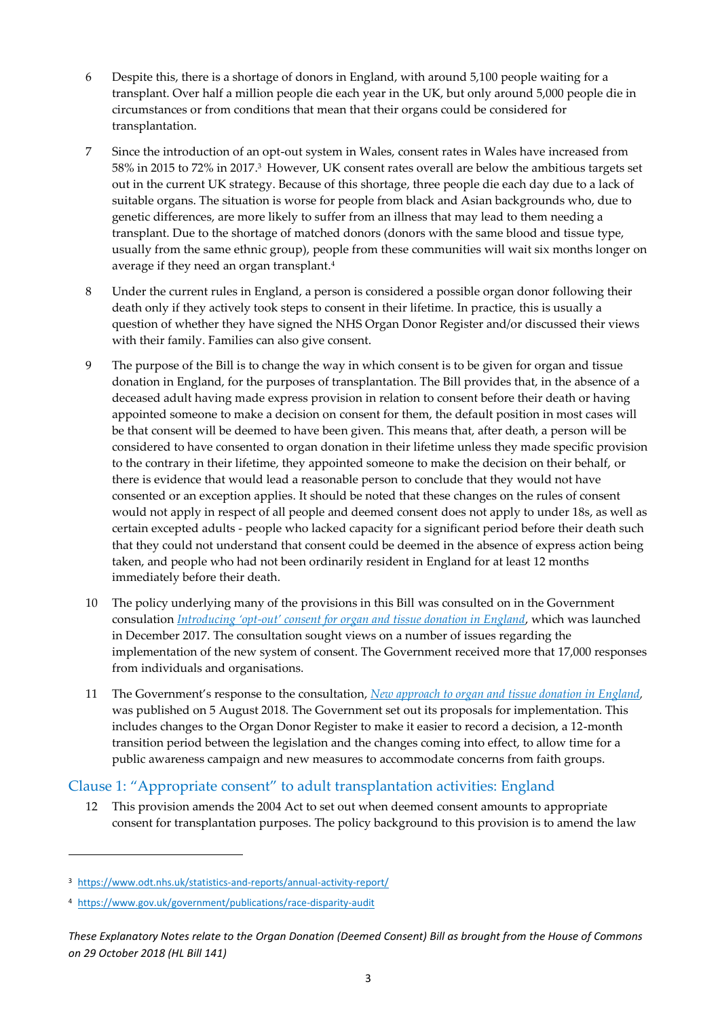- 6 Despite this, there is a shortage of donors in England, with around 5,100 people waiting for a transplant. Over half a million people die each year in the UK, but only around 5,000 people die in circumstances or from conditions that mean that their organs could be considered for transplantation.
- 7 Since the introduction of an opt-out system in Wales, consent rates in Wales have increased from 58% in 2015 to 72% in 2017. <sup>3</sup> However, UK consent rates overall are below the ambitious targets set out in the current UK strategy. Because of this shortage, three people die each day due to a lack of suitable organs. The situation is worse for people from black and Asian backgrounds who, due to genetic differences, are more likely to suffer from an illness that may lead to them needing a transplant. Due to the shortage of matched donors (donors with the same blood and tissue type, usually from the same ethnic group), people from these communities will wait six months longer on average if they need an organ transplant. 4
- 8 Under the current rules in England, a person is considered a possible organ donor following their death only if they actively took steps to consent in their lifetime. In practice, this is usually a question of whether they have signed the NHS Organ Donor Register and/or discussed their views with their family. Families can also give consent.
- 9 The purpose of the Bill is to change the way in which consent is to be given for organ and tissue donation in England, for the purposes of transplantation. The Bill provides that, in the absence of a deceased adult having made express provision in relation to consent before their death or having appointed someone to make a decision on consent for them, the default position in most cases will be that consent will be deemed to have been given. This means that, after death, a person will be considered to have consented to organ donation in their lifetime unless they made specific provision to the contrary in their lifetime, they appointed someone to make the decision on their behalf, or there is evidence that would lead a reasonable person to conclude that they would not have consented or an exception applies. It should be noted that these changes on the rules of consent would not apply in respect of all people and deemed consent does not apply to under 18s, as well as certain excepted adults - people who lacked capacity for a significant period before their death such that they could not understand that consent could be deemed in the absence of express action being taken, and people who had not been ordinarily resident in England for at least 12 months immediately before their death.
- 10 The policy underlying many of the provisions in this Bill was consulted on in the Government consulation *Introducing 'opt-[out' consent for organ and tissue donation in England](https://www.gov.uk/government/consultations/introducing-opt-out-consent-for-organ-and-tissue-donation-in-england/consultation-on-introducing-opt-out-consent-for-organ-and-tissue-donation-in-england)*, which was launched in December 2017. The consultation sought views on a number of issues regarding the implementation of the new system of consent. The Government received more that 17,000 responses from individuals and organisations.
- 11 The Government's response to the consultation, *[New approach to organ and tissue donation in England,](https://assets.publishing.service.gov.uk/government/uploads/system/uploads/attachment_data/file/731913/govt-response-organ-donation-consent.pdf)* was published on 5 August 2018. The Government set out its proposals for implementation. This includes changes to the Organ Donor Register to make it easier to record a decision, a 12-month transition period between the legislation and the changes coming into effect, to allow time for a public awareness campaign and new measures to accommodate concerns from faith groups.

#### <span id="page-3-0"></span>Clause 1: "Appropriate consent" to adult transplantation activities: England

This provision amends the 2004 Act to set out when deemed consent amounts to appropriate consent for transplantation purposes. The policy background to this provision is to amend the law

**.** 

<sup>3</sup> <https://www.odt.nhs.uk/statistics-and-reports/annual-activity-report/>

<sup>4</sup> <https://www.gov.uk/government/publications/race-disparity-audit>

*These Explanatory Notes relate to the Organ Donation (Deemed Consent) Bill as brought from the House of Commons on 29 October 2018 (HL Bill 141)*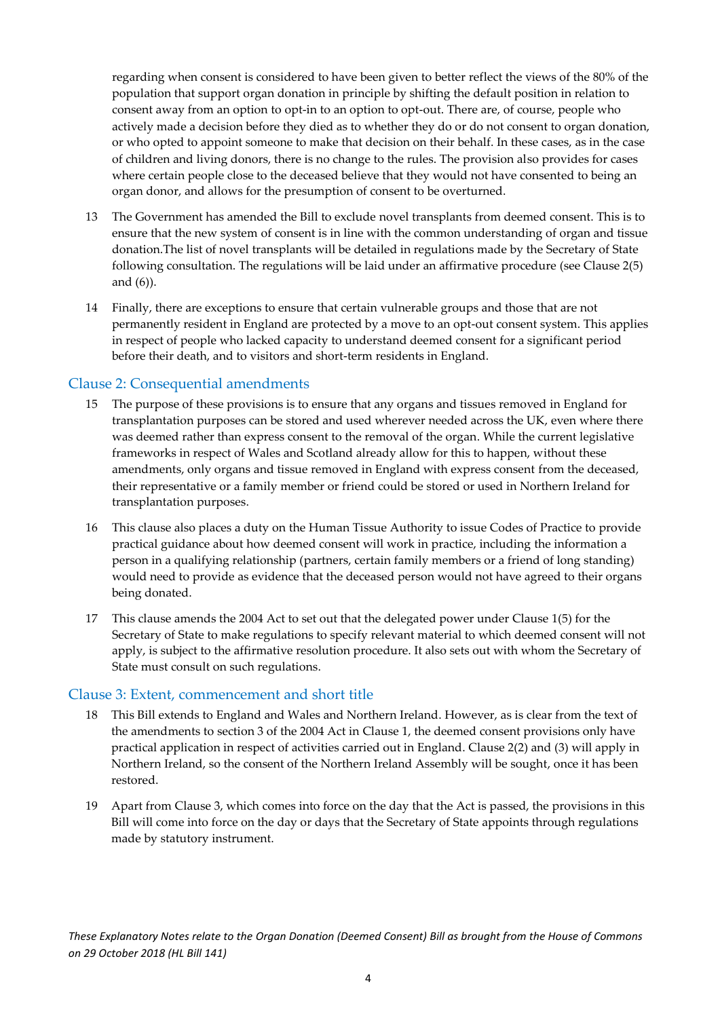regarding when consent is considered to have been given to better reflect the views of the 80% of the population that support organ donation in principle by shifting the default position in relation to consent away from an option to opt-in to an option to opt-out. There are, of course, people who actively made a decision before they died as to whether they do or do not consent to organ donation, or who opted to appoint someone to make that decision on their behalf. In these cases, as in the case of children and living donors, there is no change to the rules. The provision also provides for cases where certain people close to the deceased believe that they would not have consented to being an organ donor, and allows for the presumption of consent to be overturned.

- 13 The Government has amended the Bill to exclude novel transplants from deemed consent. This is to ensure that the new system of consent is in line with the common understanding of organ and tissue donation.The list of novel transplants will be detailed in regulations made by the Secretary of State following consultation. The regulations will be laid under an affirmative procedure (see Clause 2(5) and (6)).
- 14 Finally, there are exceptions to ensure that certain vulnerable groups and those that are not permanently resident in England are protected by a move to an opt-out consent system. This applies in respect of people who lacked capacity to understand deemed consent for a significant period before their death, and to visitors and short-term residents in England.

#### <span id="page-4-0"></span>Clause 2: Consequential amendments

- 15 The purpose of these provisions is to ensure that any organs and tissues removed in England for transplantation purposes can be stored and used wherever needed across the UK, even where there was deemed rather than express consent to the removal of the organ. While the current legislative frameworks in respect of Wales and Scotland already allow for this to happen, without these amendments, only organs and tissue removed in England with express consent from the deceased, their representative or a family member or friend could be stored or used in Northern Ireland for transplantation purposes.
- 16 This clause also places a duty on the Human Tissue Authority to issue Codes of Practice to provide practical guidance about how deemed consent will work in practice, including the information a person in a qualifying relationship (partners, certain family members or a friend of long standing) would need to provide as evidence that the deceased person would not have agreed to their organs being donated.
- 17 This clause amends the 2004 Act to set out that the delegated power under Clause 1(5) for the Secretary of State to make regulations to specify relevant material to which deemed consent will not apply, is subject to the affirmative resolution procedure. It also sets out with whom the Secretary of State must consult on such regulations.

#### <span id="page-4-1"></span>Clause 3: Extent, commencement and short title

- 18 This Bill extends to England and Wales and Northern Ireland. However, as is clear from the text of the amendments to section 3 of the 2004 Act in Clause 1, the deemed consent provisions only have practical application in respect of activities carried out in England. Clause 2(2) and (3) will apply in Northern Ireland, so the consent of the Northern Ireland Assembly will be sought, once it has been restored.
- 19 Apart from Clause 3, which comes into force on the day that the Act is passed, the provisions in this Bill will come into force on the day or days that the Secretary of State appoints through regulations made by statutory instrument.

*These Explanatory Notes relate to the Organ Donation (Deemed Consent) Bill as brought from the House of Commons on 29 October 2018 (HL Bill 141)*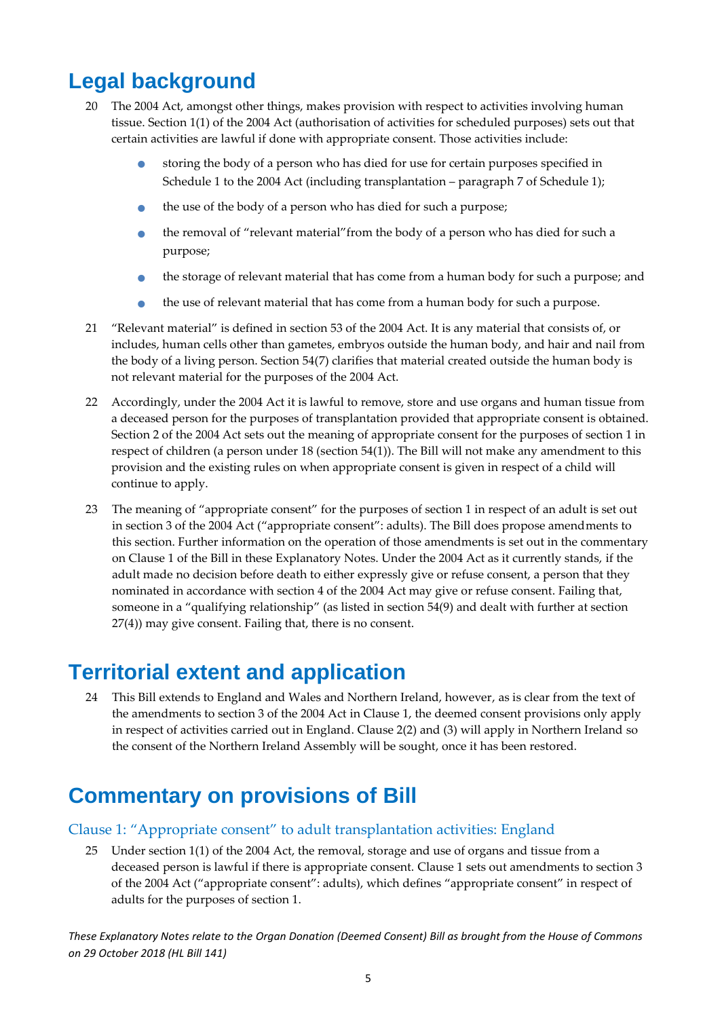### <span id="page-5-0"></span>**Legal background**

- 20 The 2004 Act, amongst other things, makes provision with respect to activities involving human tissue. Section 1(1) of the 2004 Act (authorisation of activities for scheduled purposes) sets out that certain activities are lawful if done with appropriate consent. Those activities include:
	- storing the body of a person who has died for use for certain purposes specified in Schedule 1 to the 2004 Act (including transplantation – paragraph 7 of Schedule 1);
	- the use of the body of a person who has died for such a purpose;
	- the removal of "relevant material"from the body of a person who has died for such a purpose;
	- the storage of relevant material that has come from a human body for such a purpose; and
	- the use of relevant material that has come from a human body for such a purpose.
- 21 "Relevant material" is defined in section 53 of the 2004 Act. It is any material that consists of, or includes, human cells other than gametes, embryos outside the human body, and hair and nail from the body of a living person. Section 54(7) clarifies that material created outside the human body is not relevant material for the purposes of the 2004 Act.
- 22 Accordingly, under the 2004 Act it is lawful to remove, store and use organs and human tissue from a deceased person for the purposes of transplantation provided that appropriate consent is obtained. Section 2 of the 2004 Act sets out the meaning of appropriate consent for the purposes of section 1 in respect of children (a person under 18 (section 54(1)). The Bill will not make any amendment to this provision and the existing rules on when appropriate consent is given in respect of a child will continue to apply.
- 23 The meaning of "appropriate consent" for the purposes of section 1 in respect of an adult is set out in section 3 of the 2004 Act ("appropriate consent": adults). The Bill does propose amendments to this section. Further information on the operation of those amendments is set out in the commentary on Clause 1 of the Bill in these Explanatory Notes. Under the 2004 Act as it currently stands, if the adult made no decision before death to either expressly give or refuse consent, a person that they nominated in accordance with section 4 of the 2004 Act may give or refuse consent. Failing that, someone in a "qualifying relationship" (as listed in section 54(9) and dealt with further at section 27(4)) may give consent. Failing that, there is no consent.

### <span id="page-5-1"></span>**Territorial extent and application**

24 This Bill extends to England and Wales and Northern Ireland, however, as is clear from the text of the amendments to section 3 of the 2004 Act in Clause 1, the deemed consent provisions only apply in respect of activities carried out in England. Clause 2(2) and (3) will apply in Northern Ireland so the consent of the Northern Ireland Assembly will be sought, once it has been restored.

### <span id="page-5-2"></span>**Commentary on provisions of Bill**

#### <span id="page-5-3"></span>Clause 1: "Appropriate consent" to adult transplantation activities: England

25 Under section 1(1) of the 2004 Act, the removal, storage and use of organs and tissue from a deceased person is lawful if there is appropriate consent. Clause 1 sets out amendments to section 3 of the 2004 Act ("appropriate consent": adults), which defines "appropriate consent" in respect of adults for the purposes of section 1.

*These Explanatory Notes relate to the Organ Donation (Deemed Consent) Bill as brought from the House of Commons on 29 October 2018 (HL Bill 141)*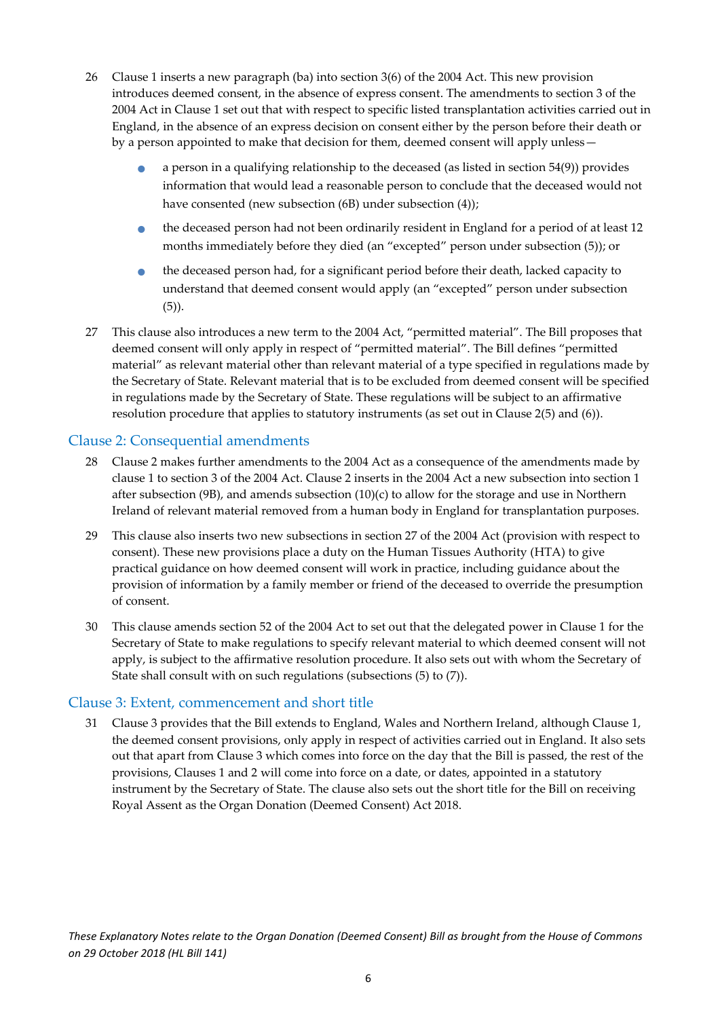- 26 Clause 1 inserts a new paragraph (ba) into section 3(6) of the 2004 Act. This new provision introduces deemed consent, in the absence of express consent. The amendments to section 3 of the 2004 Act in Clause 1 set out that with respect to specific listed transplantation activities carried out in England, in the absence of an express decision on consent either by the person before their death or by a person appointed to make that decision for them, deemed consent will apply unless
	- a person in a qualifying relationship to the deceased (as listed in section 54(9)) provides information that would lead a reasonable person to conclude that the deceased would not have consented (new subsection (6B) under subsection (4));
	- the deceased person had not been ordinarily resident in England for a period of at least 12 months immediately before they died (an "excepted" person under subsection (5)); or
	- the deceased person had, for a significant period before their death, lacked capacity to understand that deemed consent would apply (an "excepted" person under subsection (5)).
- 27 This clause also introduces a new term to the 2004 Act, "permitted material". The Bill proposes that deemed consent will only apply in respect of "permitted material". The Bill defines "permitted material" as relevant material other than relevant material of a type specified in regulations made by the Secretary of State. Relevant material that is to be excluded from deemed consent will be specified in regulations made by the Secretary of State. These regulations will be subject to an affirmative resolution procedure that applies to statutory instruments (as set out in Clause 2(5) and (6)).

#### <span id="page-6-0"></span>Clause 2: Consequential amendments

- 28 Clause 2 makes further amendments to the 2004 Act as a consequence of the amendments made by clause 1 to section 3 of the 2004 Act. Clause 2 inserts in the 2004 Act a new subsection into section 1 after subsection (9B), and amends subsection (10)(c) to allow for the storage and use in Northern Ireland of relevant material removed from a human body in England for transplantation purposes.
- 29 This clause also inserts two new subsections in section 27 of the 2004 Act (provision with respect to consent). These new provisions place a duty on the Human Tissues Authority (HTA) to give practical guidance on how deemed consent will work in practice, including guidance about the provision of information by a family member or friend of the deceased to override the presumption of consent.
- 30 This clause amends section 52 of the 2004 Act to set out that the delegated power in Clause 1 for the Secretary of State to make regulations to specify relevant material to which deemed consent will not apply, is subject to the affirmative resolution procedure. It also sets out with whom the Secretary of State shall consult with on such regulations (subsections (5) to (7)).

#### <span id="page-6-1"></span>Clause 3: Extent, commencement and short title

31 Clause 3 provides that the Bill extends to England, Wales and Northern Ireland, although Clause 1, the deemed consent provisions, only apply in respect of activities carried out in England. It also sets out that apart from Clause 3 which comes into force on the day that the Bill is passed, the rest of the provisions, Clauses 1 and 2 will come into force on a date, or dates, appointed in a statutory instrument by the Secretary of State. The clause also sets out the short title for the Bill on receiving Royal Assent as the Organ Donation (Deemed Consent) Act 2018.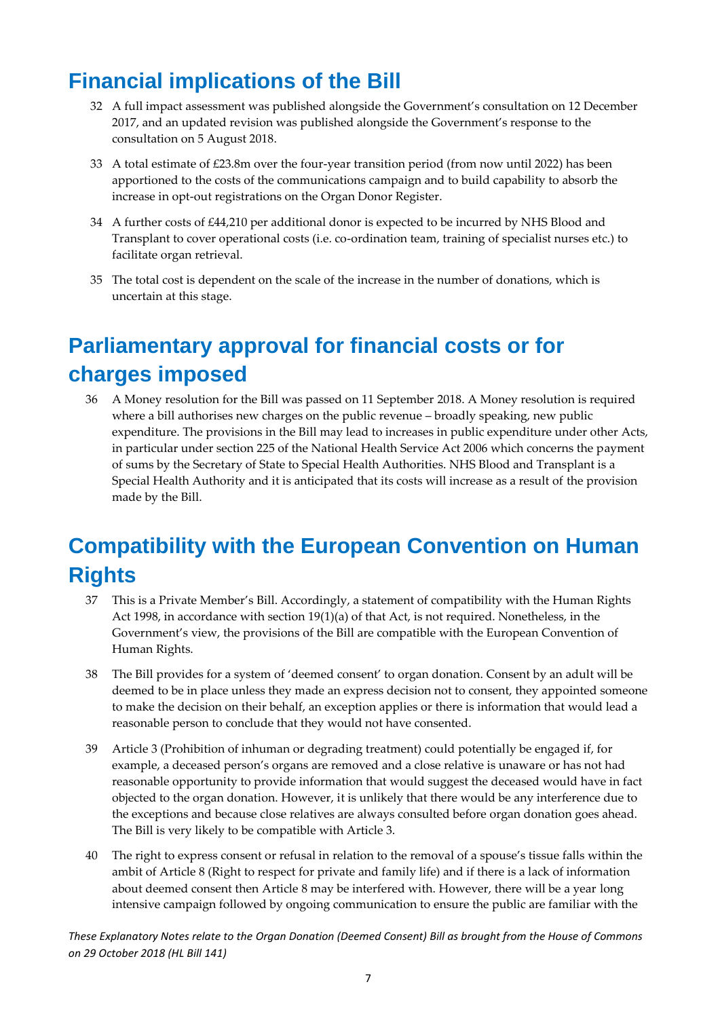### <span id="page-7-0"></span>**Financial implications of the Bill**

- 32 A full impact assessment was published alongside the Government's consultation on 12 December 2017, and an updated revision was published alongside the Government's response to the consultation on 5 August 2018.
- 33 A total estimate of £23.8m over the four-year transition period (from now until 2022) has been apportioned to the costs of the communications campaign and to build capability to absorb the increase in opt-out registrations on the Organ Donor Register.
- 34 A further costs of £44,210 per additional donor is expected to be incurred by NHS Blood and Transplant to cover operational costs (i.e. co-ordination team, training of specialist nurses etc.) to facilitate organ retrieval.
- 35 The total cost is dependent on the scale of the increase in the number of donations, which is uncertain at this stage.

## <span id="page-7-1"></span>**Parliamentary approval for financial costs or for charges imposed**

36 A Money resolution for the Bill was passed on 11 September 2018. A Money resolution is required where a bill authorises new charges on the public revenue – broadly speaking, new public expenditure. The provisions in the Bill may lead to increases in public expenditure under other Acts, in particular under section 225 of the National Health Service Act 2006 which concerns the payment of sums by the Secretary of State to Special Health Authorities. NHS Blood and Transplant is a Special Health Authority and it is anticipated that its costs will increase as a result of the provision made by the Bill.

## <span id="page-7-2"></span>**Compatibility with the European Convention on Human Rights**

- 37 This is a Private Member's Bill. Accordingly, a statement of compatibility with the Human Rights Act 1998, in accordance with section 19(1)(a) of that Act, is not required. Nonetheless, in the Government's view, the provisions of the Bill are compatible with the European Convention of Human Rights.
- 38 The Bill provides for a system of 'deemed consent' to organ donation. Consent by an adult will be deemed to be in place unless they made an express decision not to consent, they appointed someone to make the decision on their behalf, an exception applies or there is information that would lead a reasonable person to conclude that they would not have consented.
- 39 Article 3 (Prohibition of inhuman or degrading treatment) could potentially be engaged if, for example, a deceased person's organs are removed and a close relative is unaware or has not had reasonable opportunity to provide information that would suggest the deceased would have in fact objected to the organ donation. However, it is unlikely that there would be any interference due to the exceptions and because close relatives are always consulted before organ donation goes ahead. The Bill is very likely to be compatible with Article 3.
- 40 The right to express consent or refusal in relation to the removal of a spouse's tissue falls within the ambit of Article 8 (Right to respect for private and family life) and if there is a lack of information about deemed consent then Article 8 may be interfered with. However, there will be a year long intensive campaign followed by ongoing communication to ensure the public are familiar with the

*These Explanatory Notes relate to the Organ Donation (Deemed Consent) Bill as brought from the House of Commons on 29 October 2018 (HL Bill 141)*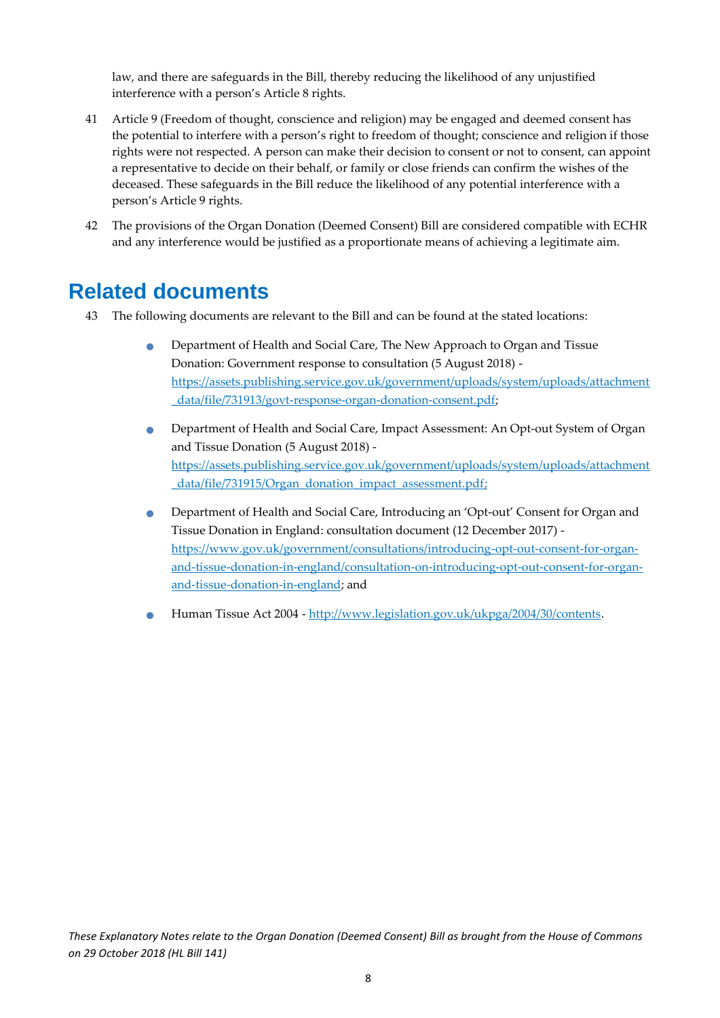law, and there are safeguards in the Bill, thereby reducing the likelihood of any unjustified interference with a person's Article 8 rights.

- 41 Article 9 (Freedom of thought, conscience and religion) may be engaged and deemed consent has the potential to interfere with a person's right to freedom of thought; conscience and religion if those rights were not respected. A person can make their decision to consent or not to consent, can appoint a representative to decide on their behalf, or family or close friends can confirm the wishes of the deceased. These safeguards in the Bill reduce the likelihood of any potential interference with a person's Article 9 rights.
- 42 The provisions of the Organ Donation (Deemed Consent) Bill are considered compatible with ECHR and any interference would be justified as a proportionate means of achieving a legitimate aim.

#### <span id="page-8-0"></span>**Related documents**

- 43 The following documents are relevant to the Bill and can be found at the stated locations:
	- Department of Health and Social Care, The New Approach to Organ and Tissue Donation: Government response to consultation (5 August 2018) [https://assets.publishing.service.gov.uk/government/uploads/system/uploads/attachment](https://assets.publishing.service.gov.uk/government/uploads/system/uploads/attachment_data/file/731913/govt-response-organ-donation-consent.pdf) [\\_data/file/731913/govt-response-organ-donation-consent.pdf;](https://assets.publishing.service.gov.uk/government/uploads/system/uploads/attachment_data/file/731913/govt-response-organ-donation-consent.pdf)
	- Department of Health and Social Care, [Impact Assessment: An Opt-out System of Organ](https://assets.publishing.service.gov.uk/government/uploads/system/uploads/attachment_data/file/731915/Organ_donation_impact_assessment.pdf)  [and Tissue Donation](https://assets.publishing.service.gov.uk/government/uploads/system/uploads/attachment_data/file/731915/Organ_donation_impact_assessment.pdf) (5 August 2018) [https://assets.publishing.service.gov.uk/government/uploads/system/uploads/attachment](https://assets.publishing.service.gov.uk/government/uploads/system/uploads/attachment_data/file/731915/Organ_donation_impact_assessment.pdf) [\\_data/file/731915/Organ\\_donation\\_impact\\_assessment.pdf;](https://assets.publishing.service.gov.uk/government/uploads/system/uploads/attachment_data/file/731915/Organ_donation_impact_assessment.pdf)
	- Department of Health and Social Care, Introducing an 'Opt-out' Consent for Organ and Tissue Donation in England: consultation document (12 December 2017) [https://www.gov.uk/government/consultations/introducing-opt-out-consent-for-organ](https://www.gov.uk/government/consultations/introducing-opt-out-consent-for-organ-and-tissue-donation-in-england/consultation-on-introducing-opt-out-consent-for-organ-and-tissue-donation-in-england)[and-tissue-donation-in-england/consultation-on-introducing-opt-out-consent-for-organ](https://www.gov.uk/government/consultations/introducing-opt-out-consent-for-organ-and-tissue-donation-in-england/consultation-on-introducing-opt-out-consent-for-organ-and-tissue-donation-in-england)[and-tissue-donation-in-england;](https://www.gov.uk/government/consultations/introducing-opt-out-consent-for-organ-and-tissue-donation-in-england/consultation-on-introducing-opt-out-consent-for-organ-and-tissue-donation-in-england) and
	- Human Tissue Act 2004 [http://www.legislation.gov.uk/ukpga/2004/30/contents.](http://www.legislation.gov.uk/ukpga/2004/30/contents)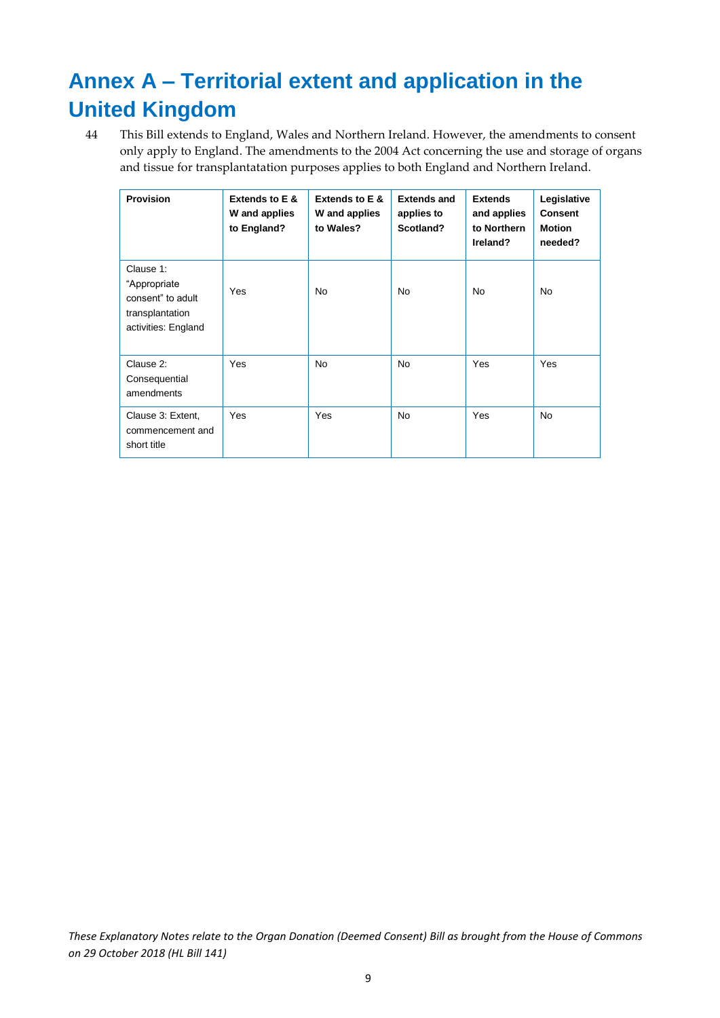## <span id="page-9-0"></span>**Annex A – Territorial extent and application in the United Kingdom**

44 This Bill extends to England, Wales and Northern Ireland. However, the amendments to consent only apply to England. The amendments to the 2004 Act concerning the use and storage of organs and tissue for transplantatation purposes applies to both England and Northern Ireland.

| <b>Provision</b>                                                                         | Extends to E &<br>W and applies<br>to England? | Extends to E &<br>W and applies<br>to Wales? | <b>Extends and</b><br>applies to<br>Scotland? | <b>Extends</b><br>and applies<br>to Northern<br>Ireland? | Legislative<br>Consent<br><b>Motion</b><br>needed? |
|------------------------------------------------------------------------------------------|------------------------------------------------|----------------------------------------------|-----------------------------------------------|----------------------------------------------------------|----------------------------------------------------|
| Clause 1:<br>"Appropriate<br>consent" to adult<br>transplantation<br>activities: England | Yes                                            | No.                                          | No.                                           | No.                                                      | <b>No</b>                                          |
| Clause 2:<br>Consequential<br>amendments                                                 | <b>Yes</b>                                     | No.                                          | <b>No</b>                                     | Yes                                                      | Yes                                                |
| Clause 3: Extent,<br>commencement and<br>short title                                     | Yes                                            | Yes                                          | <b>No</b>                                     | Yes                                                      | <b>No</b>                                          |